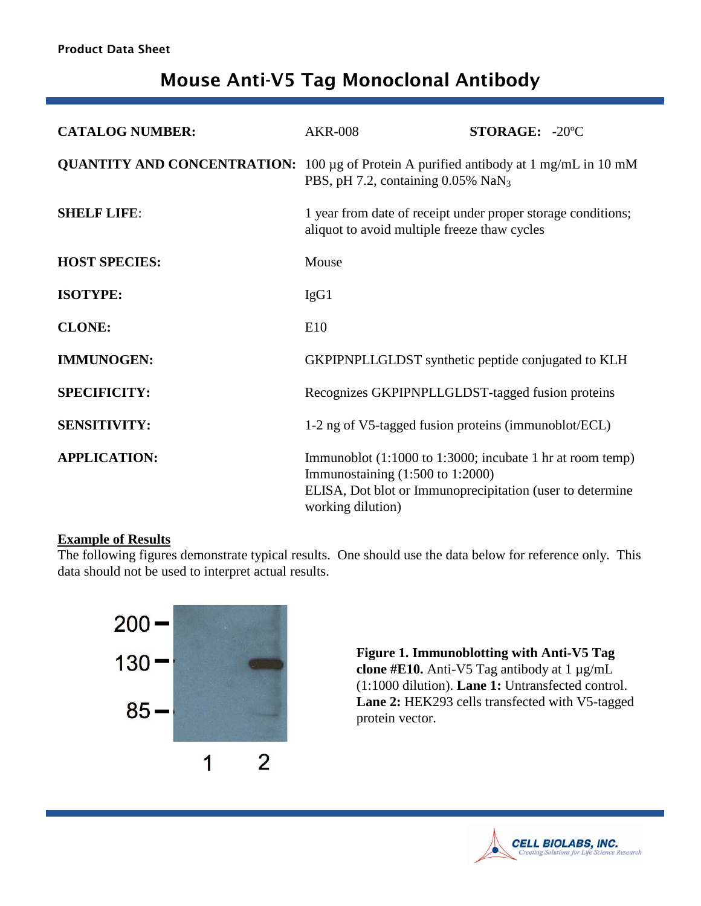# Mouse Anti-V5 Tag Monoclonal Antibody

| <b>CATALOG NUMBER:</b> | <b>AKR-008</b>                                                                                                                                                                                          | STORAGE: -20°C |
|------------------------|---------------------------------------------------------------------------------------------------------------------------------------------------------------------------------------------------------|----------------|
|                        | <b>QUANTITY AND CONCENTRATION:</b> 100 µg of Protein A purified antibody at 1 mg/mL in 10 mM<br>PBS, pH 7.2, containing $0.05\%$ NaN <sub>3</sub>                                                       |                |
| <b>SHELF LIFE:</b>     | 1 year from date of receipt under proper storage conditions;<br>aliquot to avoid multiple freeze thaw cycles                                                                                            |                |
| <b>HOST SPECIES:</b>   | Mouse                                                                                                                                                                                                   |                |
| <b>ISOTYPE:</b>        | IgG1                                                                                                                                                                                                    |                |
| <b>CLONE:</b>          | E10                                                                                                                                                                                                     |                |
| <b>IMMUNOGEN:</b>      | GKPIPNPLLGLDST synthetic peptide conjugated to KLH                                                                                                                                                      |                |
| <b>SPECIFICITY:</b>    | Recognizes GKPIPNPLLGLDST-tagged fusion proteins                                                                                                                                                        |                |
| <b>SENSITIVITY:</b>    | 1-2 ng of V5-tagged fusion proteins (immunoblot/ECL)                                                                                                                                                    |                |
| <b>APPLICATION:</b>    | Immunoblot $(1:1000 \text{ to } 1:3000)$ ; incubate 1 hr at room temp)<br>Immunostaining $(1:500 \text{ to } 1:2000)$<br>ELISA, Dot blot or Immunoprecipitation (user to determine<br>working dilution) |                |

## **Example of Results**

The following figures demonstrate typical results. One should use the data below for reference only. This data should not be used to interpret actual results.



**Figure 1. Immunoblotting with Anti-V5 Tag clone #E10.** Anti-V5 Tag antibody at 1 µg/mL (1:1000 dilution). **Lane 1:** Untransfected control. Lane 2: HEK293 cells transfected with V5-tagged protein vector.